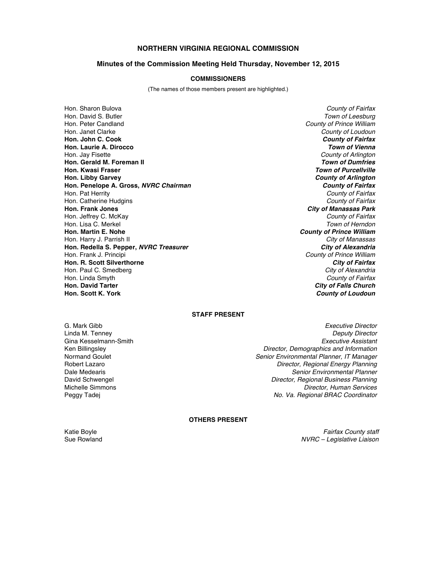# **NORTHERN VIRGINIA REGIONAL COMMISSION**

### **Minutes of the Commission Meeting Held Thursday, November 12, 2015**

#### **COMMISSIONERS**

(The names of those members present are highlighted.)

Hon. Sharon Bulova *County of Fairfax* Hon. David S. Butler *Town of Leesburg* Hon. Peter Candland *County of Prince William* Hon. Janet Clarke *County of Loudoun* **Hon. John C. Cook** *County of Fairfax* **Hon. Laurie A. Dirocco** *Town of Vienna* Hon. Jay Fisette *County of Arlington* **Hon. Gerald M. Foreman II<br>Hon. Kwasi Fraser Hon. Libby Garvey** *County of Arlington* **Hon. Penelope A. Gross,** *NVRC Chairman County of Fairfax* Hon. Pat Herrity *County of Fairfax* Hon. Catherine Hudgins *County of Fairfax* **Hon. Frank Jones** *City of Manassas Park* Hon. Jeffrey C. McKay *County of Fairfax* Hon. Lisa C. Merkel<br>**Hon. Martin E. Nohe** Hon. Harry J. Parrish II *City of Manassas* **Hon. Redella S. Pepper,** *NVRC Treasurer*<br>Hon. Frank J. Principi **Hon. R. Scott Silverthorne** *City of Fairfax* Hon. Paul C. Smedberg *City of Alexandria* Hon. Linda Smyth *County of Fairfax* **Hon. David Tarter** *City of Falls Church*

**Town of Purcellville County of Prince William County of Prince William County of Loudoun** 

## **STAFF PRESENT**

Gina Kesselmann-Smith<br>Ken Billingsley

G. Mark Gibb *Executive Director* Linda M. Tenney *Deputy Director* Ken Billingsley *Director, Demographics and Information* Normand Goulet *Senior Environmental Planner, IT Manager* **Director, Regional Energy Planning** Dale Medearis *Senior Environmental Planner* David Schwengel *Director, Regional Business Planning* Michelle Simmons *Director, Human Services* **No. Va. Regional BRAC Coordinator** 

## **OTHERS PRESENT**

Katie Boyle *Fairfax County staff* Sue Rowland *NVRC – Legislative Liaison*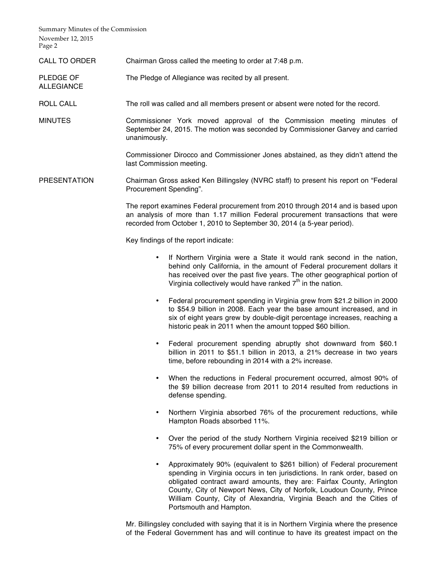Summary Minutes of the Commission November 12, 2015 Page 2

ALLEGIANCE

- CALL TO ORDER Chairman Gross called the meeting to order at 7:48 p.m.
- PLEDGE OF The Pledge of Allegiance was recited by all present.
- ROLL CALL The roll was called and all members present or absent were noted for the record.

MINUTES Commissioner York moved approval of the Commission meeting minutes of September 24, 2015. The motion was seconded by Commissioner Garvey and carried unanimously.

> Commissioner Dirocco and Commissioner Jones abstained, as they didn't attend the last Commission meeting.

PRESENTATION Chairman Gross asked Ken Billingsley (NVRC staff) to present his report on "Federal Procurement Spending".

> The report examines Federal procurement from 2010 through 2014 and is based upon an analysis of more than 1.17 million Federal procurement transactions that were recorded from October 1, 2010 to September 30, 2014 (a 5-year period).

Key findings of the report indicate:

- If Northern Virginia were a State it would rank second in the nation, behind only California, in the amount of Federal procurement dollars it has received over the past five years. The other geographical portion of Virginia collectively would have ranked  $7<sup>th</sup>$  in the nation.
- Federal procurement spending in Virginia grew from \$21.2 billion in 2000 to \$54.9 billion in 2008. Each year the base amount increased, and in six of eight years grew by double-digit percentage increases, reaching a historic peak in 2011 when the amount topped \$60 billion.
- Federal procurement spending abruptly shot downward from \$60.1 billion in 2011 to \$51.1 billion in 2013, a 21% decrease in two years time, before rebounding in 2014 with a 2% increase.
- When the reductions in Federal procurement occurred, almost 90% of the \$9 billion decrease from 2011 to 2014 resulted from reductions in defense spending.
- Northern Virginia absorbed 76% of the procurement reductions, while Hampton Roads absorbed 11%.
- Over the period of the study Northern Virginia received \$219 billion or 75% of every procurement dollar spent in the Commonwealth.
- Approximately 90% (equivalent to \$261 billion) of Federal procurement spending in Virginia occurs in ten jurisdictions. In rank order, based on obligated contract award amounts, they are: Fairfax County, Arlington County, City of Newport News, City of Norfolk, Loudoun County, Prince William County, City of Alexandria, Virginia Beach and the Cities of Portsmouth and Hampton.

Mr. Billingsley concluded with saying that it is in Northern Virginia where the presence of the Federal Government has and will continue to have its greatest impact on the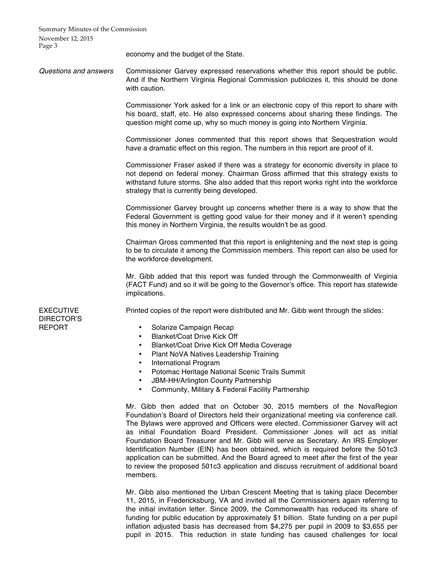Summary Minutes of the Commission November 12, 2015 Page 3

economy and the budget of the State.

*Questions and answers* Commissioner Garvey expressed reservations whether this report should be public. And if the Northern Virginia Regional Commission publicizes it, this should be done with caution.

> Commissioner York asked for a link or an electronic copy of this report to share with his board, staff, etc. He also expressed concerns about sharing these findings. The question might come up, why so much money is going into Northern Virginia.

> Commissioner Jones commented that this report shows that Sequestration would have a dramatic effect on this region. The numbers in this report are proof of it.

> Commissioner Fraser asked if there was a strategy for economic diversity in place to not depend on federal money. Chairman Gross affirmed that this strategy exists to withstand future storms. She also added that this report works right into the workforce strategy that is currently being developed.

> Commissioner Garvey brought up concerns whether there is a way to show that the Federal Government is getting good value for their money and if it weren't spending this money in Northern Virginia, the results wouldn't be as good.

> Chairman Gross commented that this report is enlightening and the next step is going to be to circulate it among the Commission members. This report can also be used for the workforce development.

> Mr. Gibb added that this report was funded through the Commonwealth of Virginia (FACT Fund) and so it will be going to the Governor's office. This report has statewide implications.

Printed copies of the report were distributed and Mr. Gibb went through the slides:

EXECUTIVE DIRECTOR'S REPORT

- Solarize Campaign Recap
- Blanket/Coat Drive Kick Off
- Blanket/Coat Drive Kick Off Media Coverage
- Plant NoVA Natives Leadership Training
- International Program
- Potomac Heritage National Scenic Trails Summit
- JBM-HH/Arlington County Partnership
- Community, Military & Federal Facility Partnership

Mr. Gibb then added that on October 30, 2015 members of the NovaRegion Foundation's Board of Directors held their organizational meeting via conference call. The Bylaws were approved and Officers were elected. Commissioner Garvey will act as initial Foundation Board President. Commissioner Jones will act as initial Foundation Board Treasurer and Mr. Gibb will serve as Secretary. An IRS Employer Identification Number (EIN) has been obtained, which is required before the 501c3 application can be submitted. And the Board agreed to meet after the first of the year to review the proposed 501c3 application and discuss recruitment of additional board members.

Mr. Gibb also mentioned the Urban Crescent Meeting that is taking place December 11, 2015, in Fredericksburg, VA and invited all the Commissioners again referring to the initial invitation letter. Since 2009, the Commonwealth has reduced its share of funding for public education by approximately \$1 billion. State funding on a per pupil inflation adjusted basis has decreased from \$4,275 per pupil in 2009 to \$3,655 per pupil in 2015. This reduction in state funding has caused challenges for local